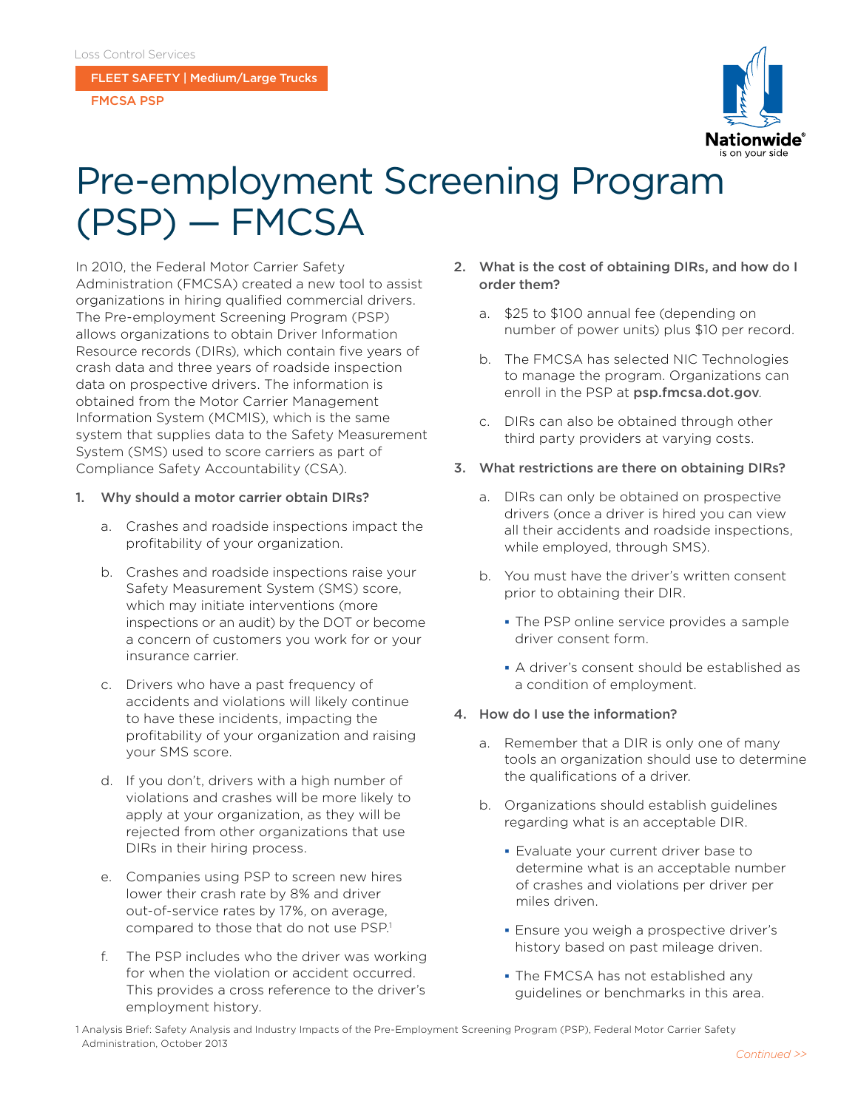FLEET SAFETY | Medium/Large Trucks

FMCSA PSP



# Pre-employment Screening Program (PSP) — FMCSA

In 2010, the Federal Motor Carrier Safety Administration (FMCSA) created a new tool to assist organizations in hiring qualified commercial drivers. The Pre-employment Screening Program (PSP) allows organizations to obtain Driver Information Resource records (DIRs), which contain five years of crash data and three years of roadside inspection data on prospective drivers. The information is obtained from the Motor Carrier Management Information System (MCMIS), which is the same system that supplies data to the Safety Measurement System (SMS) used to score carriers as part of Compliance Safety Accountability (CSA).

#### 1. Why should a motor carrier obtain DIRs?

- a. Crashes and roadside inspections impact the profitability of your organization.
- b. Crashes and roadside inspections raise your Safety Measurement System (SMS) score, which may initiate interventions (more inspections or an audit) by the DOT or become a concern of customers you work for or your insurance carrier.
- c. Drivers who have a past frequency of accidents and violations will likely continue to have these incidents, impacting the profitability of your organization and raising your SMS score.
- d. If you don't, drivers with a high number of violations and crashes will be more likely to apply at your organization, as they will be rejected from other organizations that use DIRs in their hiring process.
- e. Companies using PSP to screen new hires lower their crash rate by 8% and driver out-of-service rates by 17%, on average, compared to those that do not use PSP.<sup>1</sup>
- f. The PSP includes who the driver was working for when the violation or accident occurred. This provides a cross reference to the driver's employment history.
- 2. What is the cost of obtaining DIRs, and how do I order them?
	- a. \$25 to \$100 annual fee (depending on number of power units) plus \$10 per record.
	- b. The FMCSA has selected NIC Technologies to manage the program. Organizations can enroll in the PSP at [psp.fmcsa.dot.gov](http://www.psp.fmcsa.dot.gov).
	- c. DIRs can also be obtained through other third party providers at varying costs.
- 3. What restrictions are there on obtaining DIRs?
	- a. DIRs can only be obtained on prospective drivers (once a driver is hired you can view all their accidents and roadside inspections, while employed, through SMS).
	- b. You must have the driver's written consent prior to obtaining their DIR.
		- The PSP online service provides a sample driver consent form.
		- A driver's consent should be established as a condition of employment.
- 4. How do I use the information?
	- a. Remember that a DIR is only one of many tools an organization should use to determine the qualifications of a driver.
	- b. Organizations should establish guidelines regarding what is an acceptable DIR.
		- Evaluate your current driver base to determine what is an acceptable number of crashes and violations per driver per miles driven.
		- **Ensure you weigh a prospective driver's** history based on past mileage driven.
		- The FMCSA has not established any guidelines or benchmarks in this area.

1 Analysis Brief: Safety Analysis and Industry Impacts of the Pre-Employment Screening Program (PSP), Federal Motor Carrier Safety Administration, October 2013